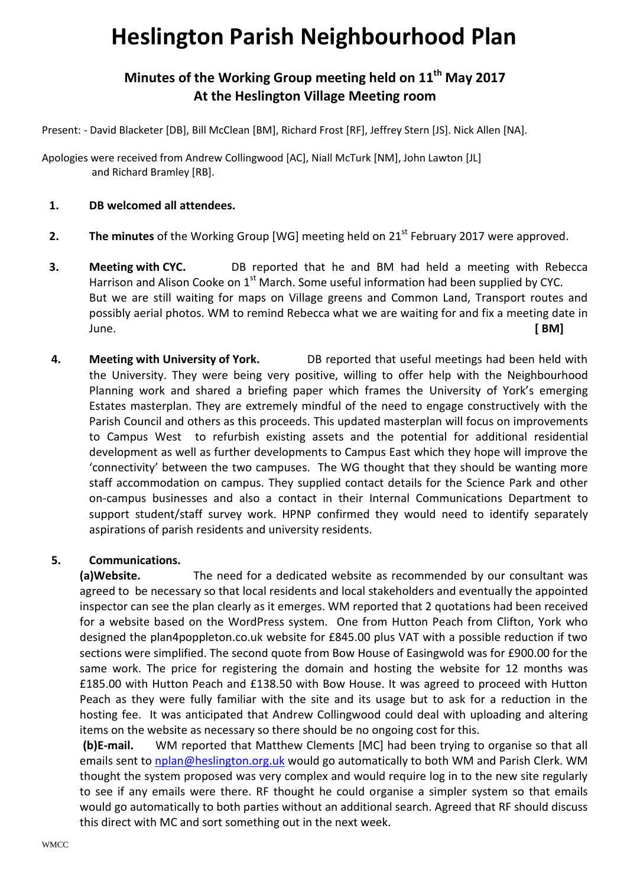## **Heslington Parish Neighbourhood Plan**

## **Minutes of the Working Group meeting held on 11th May 2017 At the Heslington Village Meeting room**

Present: - David Blacketer [DB], Bill McClean [BM], Richard Frost [RF], Jeffrey Stern [JS]. Nick Allen [NA].

Apologies were received from Andrew Collingwood [AC], Niall McTurk [NM], John Lawton [JL] and Richard Bramley [RB].

## **1. DB welcomed all attendees.**

- **2.** The minutes of the Working Group [WG] meeting held on 21<sup>st</sup> February 2017 were approved.
- **3. Meeting with CYC.** DB reported that he and BM had held a meeting with Rebecca Harrison and Alison Cooke on  $1<sup>st</sup>$  March. Some useful information had been supplied by CYC. But we are still waiting for maps on Village greens and Common Land, Transport routes and possibly aerial photos. WM to remind Rebecca what we are waiting for and fix a meeting date in June. **[ BM]**
- **4. Meeting with University of York.** DB reported that useful meetings had been held with the University. They were being very positive, willing to offer help with the Neighbourhood Planning work and shared a briefing paper which frames the University of York's emerging Estates masterplan. They are extremely mindful of the need to engage constructively with the Parish Council and others as this proceeds. This updated masterplan will focus on improvements to Campus West to refurbish existing assets and the potential for additional residential development as well as further developments to Campus East which they hope will improve the 'connectivity' between the two campuses. The WG thought that they should be wanting more staff accommodation on campus. They supplied contact details for the Science Park and other on-campus businesses and also a contact in their Internal Communications Department to support student/staff survey work. HPNP confirmed they would need to identify separately aspirations of parish residents and university residents.

## **5. Communications.**

**(a)Website.** The need for a dedicated website as recommended by our consultant was agreed to be necessary so that local residents and local stakeholders and eventually the appointed inspector can see the plan clearly as it emerges. WM reported that 2 quotations had been received for a website based on the WordPress system. One from Hutton Peach from Clifton, York who designed the plan4poppleton.co.uk website for £845.00 plus VAT with a possible reduction if two sections were simplified. The second quote from Bow House of Easingwold was for £900.00 for the same work. The price for registering the domain and hosting the website for 12 months was £185.00 with Hutton Peach and £138.50 with Bow House. It was agreed to proceed with Hutton Peach as they were fully familiar with the site and its usage but to ask for a reduction in the hosting fee. It was anticipated that Andrew Collingwood could deal with uploading and altering items on the website as necessary so there should be no ongoing cost for this.

**(b)E-mail.** WM reported that Matthew Clements [MC] had been trying to organise so that all emails sent to [nplan@heslington.org.](mailto:nplan@heslington.org)uk would go automatically to both WM and Parish Clerk. WM thought the system proposed was very complex and would require log in to the new site regularly to see if any emails were there. RF thought he could organise a simpler system so that emails would go automatically to both parties without an additional search. Agreed that RF should discuss this direct with MC and sort something out in the next week.